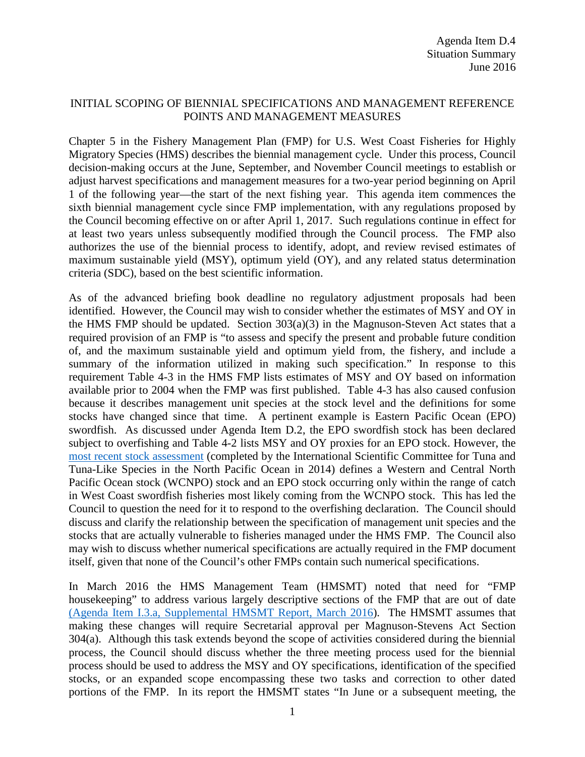#### INITIAL SCOPING OF BIENNIAL SPECIFICATIONS AND MANAGEMENT REFERENCE POINTS AND MANAGEMENT MEASURES

Chapter 5 in the Fishery Management Plan (FMP) for U.S. West Coast Fisheries for Highly Migratory Species (HMS) describes the biennial management cycle. Under this process, Council decision-making occurs at the June, September, and November Council meetings to establish or adjust harvest specifications and management measures for a two-year period beginning on April 1 of the following year—the start of the next fishing year. This agenda item commences the sixth biennial management cycle since FMP implementation, with any regulations proposed by the Council becoming effective on or after April 1, 2017. Such regulations continue in effect for at least two years unless subsequently modified through the Council process. The FMP also authorizes the use of the biennial process to identify, adopt, and review revised estimates of maximum sustainable yield (MSY), optimum yield (OY), and any related status determination criteria (SDC), based on the best scientific information.

As of the advanced briefing book deadline no regulatory adjustment proposals had been identified. However, the Council may wish to consider whether the estimates of MSY and OY in the HMS FMP should be updated. Section 303(a)(3) in the Magnuson-Steven Act states that a required provision of an FMP is "to assess and specify the present and probable future condition of, and the maximum sustainable yield and optimum yield from, the fishery, and include a summary of the information utilized in making such specification." In response to this requirement Table 4-3 in the HMS FMP lists estimates of MSY and OY based on information available prior to 2004 when the FMP was first published. Table 4-3 has also caused confusion because it describes management unit species at the stock level and the definitions for some stocks have changed since that time. A pertinent example is Eastern Pacific Ocean (EPO) swordfish. As discussed under Agenda Item D.2, the EPO swordfish stock has been declared subject to overfishing and Table 4-2 lists MSY and OY proxies for an EPO stock. However, the [most recent stock assessment](http://isc.fra.go.jp/pdf/ISC14/Annex%209%20-%20NP%20Swordfish%20Stock%20Assessment%20(1)_2014.pdf) (completed by the International Scientific Committee for Tuna and Tuna-Like Species in the North Pacific Ocean in 2014) defines a Western and Central North Pacific Ocean stock (WCNPO) stock and an EPO stock occurring only within the range of catch in West Coast swordfish fisheries most likely coming from the WCNPO stock. This has led the Council to question the need for it to respond to the overfishing declaration. The Council should discuss and clarify the relationship between the specification of management unit species and the stocks that are actually vulnerable to fisheries managed under the HMS FMP. The Council also may wish to discuss whether numerical specifications are actually required in the FMP document itself, given that none of the Council's other FMPs contain such numerical specifications.

In March 2016 the HMS Management Team (HMSMT) noted that need for "FMP housekeeping" to address various largely descriptive sections of the FMP that are out of date [\(Agenda Item I.3.a, Supplemental HMSMT Report, March 2016\)](http://www.pcouncil.org/wp-content/uploads/2016/03/I3a_Sup_HMSMT_Rpt_MAR2016BB.pdf). The HMSMT assumes that making these changes will require Secretarial approval per Magnuson-Stevens Act Section 304(a). Although this task extends beyond the scope of activities considered during the biennial process, the Council should discuss whether the three meeting process used for the biennial process should be used to address the MSY and OY specifications, identification of the specified stocks, or an expanded scope encompassing these two tasks and correction to other dated portions of the FMP. In its report the HMSMT states "In June or a subsequent meeting, the